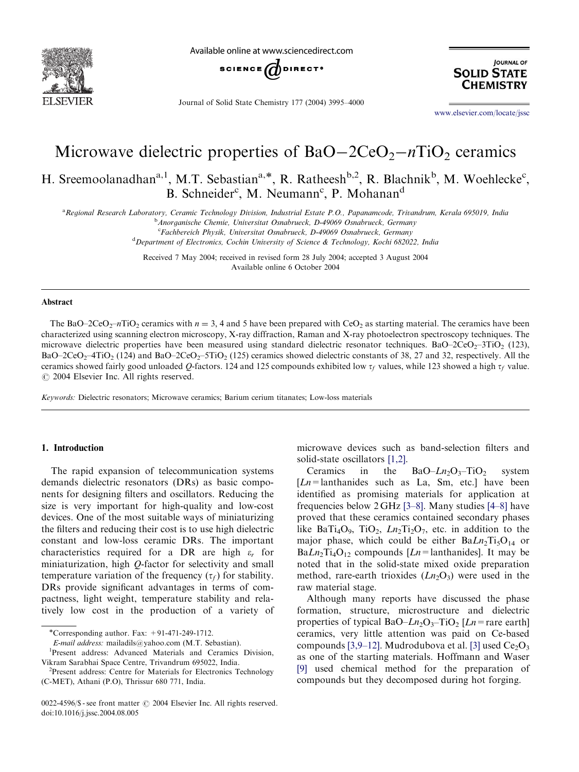

Available online at www.sciencedirect.com



Journal of Solid State Chemistry 177 (2004) 3995–4000

**JOURNAL OF SOLID STATE CHEMISTRY** 

<www.elsevier.com/locate/jssc>

# Microwave dielectric properties of  $BaO-2CeO<sub>2</sub>-nTiO<sub>2</sub>$  ceramics

H. Sreemoolanadhan<sup>a, 1</sup>, M.T. Sebastian<sup>a,\*</sup>, R. Ratheesh<sup>b, 2</sup>, R. Blachnik<sup>b</sup>, M. Woehlecke<sup>c</sup>, B. Schneider<sup>c</sup>, M. Neumann<sup>c</sup>, P. Mohanan<sup>d</sup>

a<br>Regional Research Laboratory, Ceramic Technology Division, Industrial Estate P.O., Papanamcode, Trivandrum, Kerala 695019, India

**b** Anorganische Chemie, Universitat Osnabrueck, D-49069 Osnabrueck, Germany <sup>c</sup>Fachbereich Physik, Universitat Osnabrueck, D-49069 Osnabrueck, Germany

<sup>d</sup> Department of Electronics, Cochin University of Science & Technology, Kochi 682022, India

Received 7 May 2004; received in revised form 28 July 2004; accepted 3 August 2004 Available online 6 October 2004

#### Abstract

The BaO–2CeO<sub>2</sub>–nTiO<sub>2</sub> ceramics with  $n = 3$ , 4 and 5 have been prepared with CeO<sub>2</sub> as starting material. The ceramics have been characterized using scanning electron microscopy, X-ray diffraction, Raman and X-ray photoelectron spectroscopy techniques. The microwave dielectric properties have been measured using standard dielectric resonator techniques. BaO–2CeO<sub>2</sub>–3TiO<sub>2</sub> (123),  $BaO-2CeO<sub>2</sub>-4TiO<sub>2</sub>$  (124) and  $BaO-2CeO<sub>2</sub>-5TiO<sub>2</sub>$  (125) ceramics showed dielectric constants of 38, 27 and 32, respectively. All the ceramics showed fairly good unloaded Q-factors. 124 and 125 compounds exhibited low  $\tau_f$  values, while 123 showed a high  $\tau_f$  value.  $\odot$  2004 Elsevier Inc. All rights reserved.

Keywords: Dielectric resonators; Microwave ceramics; Barium cerium titanates; Low-loss materials

#### 1. Introduction

The rapid expansion of telecommunication systems demands dielectric resonators (DRs) as basic components for designing filters and oscillators. Reducing the size is very important for high-quality and low-cost devices. One of the most suitable ways of miniaturizing the filters and reducing their cost is to use high dielectric constant and low-loss ceramic DRs. The important characteristics required for a DR are high  $\varepsilon_r$  for miniaturization, high Q-factor for selectivity and small temperature variation of the frequency  $(\tau_f)$  for stability. DRs provide significant advantages in terms of compactness, light weight, temperature stability and relatively lowcost in the production of a variety of microwave devices such as band-selection filters and solid-state oscillators [\[1,2\]](#page-5-0).

Ceramics in the BaO– $Ln_2O_3$ –TiO<sub>2</sub> system  $[Ln=]$  lanthanides such as La, Sm, etc.] have been identified as promising materials for application at frequencies below  $2 \text{ GHz}$  [\[3–8\]](#page-5-0). Many studies [\[4–8\]](#page-5-0) have proved that these ceramics contained secondary phases like BaTi<sub>4</sub>O<sub>9</sub>, TiO<sub>2</sub>,  $Ln_2Ti_2O_7$ , etc. in addition to the major phase, which could be either  $BaLn<sub>2</sub>Ti<sub>5</sub>O<sub>14</sub>$  or  $BaLn_2Ti_4O_{12}$  compounds  $[Ln=lanthanides]$ . It may be noted that in the solid-state mixed oxide preparation method, rare-earth trioxides  $(Ln_2O_3)$  were used in the rawmaterial stage.

Although many reports have discussed the phase formation, structure, microstructure and dielectric properties of typical BaO– $Ln_2O_3$ –TiO<sub>2</sub> [ $Ln$  = rare earth] ceramics, very little attention was paid on Ce-based compounds [\[3,9–12\].](#page-5-0) Mudrodubova et al. [\[3\]](#page-5-0) used  $Ce<sub>2</sub>O<sub>3</sub>$ as one of the starting materials. Hoffmann and Waser [\[9\]](#page-5-0) used chemical method for the preparation of compounds but they decomposed during hot forging.

<sup>\*</sup>Corresponding author. Fax:  $+91-471-249-1712$ .

E-mail address: mailadils@yahoo.com (M.T. Sebastian).

Present address: Advanced Materials and Ceramics Division, Vikram Sarabhai Space Centre, Trivandrum 695022, India.

<sup>&</sup>lt;sup>2</sup>Present address: Centre for Materials for Electronics Technology (C-MET), Athani (P.O), Thrissur 680 771, India.

<sup>0022-4596/\$ -</sup> see front matter © 2004 Elsevier Inc. All rights reserved. doi:10.1016/j.jssc.2004.08.005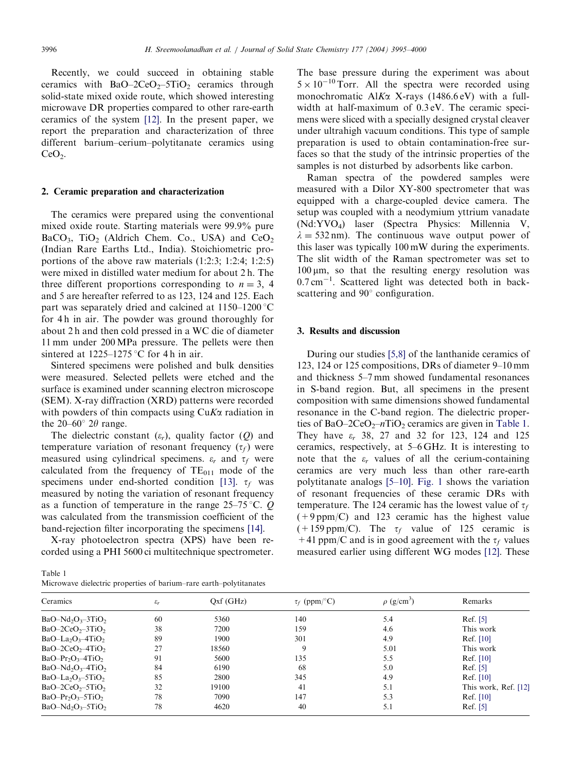Recently, we could succeed in obtaining stable ceramics with  $BaO-2CeO<sub>2</sub>-5TiO<sub>2</sub>$  ceramics through solid-state mixed oxide route, which showed interesting microwave DR properties compared to other rare-earth ceramics of the system [\[12\].](#page-5-0) In the present paper, we report the preparation and characterization of three different barium–cerium–polytitanate ceramics using  $CeO<sub>2</sub>$ .

### 2. Ceramic preparation and characterization

The ceramics were prepared using the conventional mixed oxide route. Starting materials were 99.9% pure  $BaCO<sub>3</sub>$ , TiO<sub>2</sub> (Aldrich Chem. Co., USA) and CeO<sub>2</sub> (Indian Rare Earths Ltd., India). Stoichiometric proportions of the above rawmaterials (1:2:3; 1:2:4; 1:2:5) were mixed in distilled water medium for about 2 h. The three different proportions corresponding to  $n = 3$ , 4 and 5 are hereafter referred to as 123, 124 and 125. Each part was separately dried and calcined at  $1150-1200$  °C for 4 h in air. The powder was ground thoroughly for about 2 h and then cold pressed in a WC die of diameter 11 mm under 200 MPa pressure. The pellets were then sintered at  $1225-1275$  °C for 4 h in air.

Sintered specimens were polished and bulk densities were measured. Selected pellets were etched and the surface is examined under scanning electron microscope (SEM). X-ray diffraction (XRD) patterns were recorded with powders of thin compacts using  $CuK\alpha$  radiation in the 20–60 $^{\circ}$  2 $\theta$  range.

The dielectric constant  $(\varepsilon_r)$ , quality factor  $(Q)$  and temperature variation of resonant frequency  $(\tau_f)$  were measured using cylindrical specimens.  $\varepsilon_r$  and  $\tau_f$  were calculated from the frequency of  $TE_{011}$  mode of the specimens under end-shorted condition [\[13\].](#page-5-0)  $\tau_f$  was measured by noting the variation of resonant frequency as a function of temperature in the range  $25-75$  °C. Q was calculated from the transmission coefficient of the band-rejection filter incorporating the specimens [\[14\]](#page-5-0).

X-ray photoelectron spectra (XPS) have been recorded using a PHI 5600 ci multitechnique spectrometer.

Table 1 Microwave dielectric properties of barium–rare earth–polytitanates

The base pressure during the experiment was about  $5 \times 10^{-10}$  Torr. All the spectra were recorded using monochromatic AlK $\alpha$  X-rays (1486.6 eV) with a fullwidth at half-maximum of 0.3 eV. The ceramic specimens were sliced with a specially designed crystal cleaver under ultrahigh vacuum conditions. This type of sample preparation is used to obtain contamination-free surfaces so that the study of the intrinsic properties of the samples is not disturbed by adsorbents like carbon.

Raman spectra of the powdered samples were measured with a Dilor XY-800 spectrometer that was equipped with a charge-coupled device camera. The setup was coupled with a neodymium yttrium vanadate (Nd:YVO4) laser (Spectra Physics: Millennia V,  $\lambda = 532$  nm). The continuous wave output power of this laser was typically 100 mW during the experiments. The slit width of the Raman spectrometer was set to  $100 \mu m$ , so that the resulting energy resolution was  $0.7 \text{ cm}^{-1}$ . Scattered light was detected both in backscattering and  $90^\circ$  configuration.

# 3. Results and discussion

During our studies [\[5,8\]](#page-5-0) of the lanthanide ceramics of 123, 124 or 125 compositions, DRs of diameter 9–10 mm and thickness 5–7 mm showed fundamental resonances in S-band region. But, all specimens in the present composition with same dimensions showed fundamental resonance in the C-band region. The dielectric properties of BaO–2CeO<sub>2</sub>–nTiO<sub>2</sub> ceramics are given in Table 1. They have  $\varepsilon_r$  38, 27 and 32 for 123, 124 and 125 ceramics, respectively, at 5–6 GHz. It is interesting to note that the  $\varepsilon_r$  values of all the cerium-containing ceramics are very much less than other rare-earth polytitanate analogs [\[5–10\].](#page-5-0) [Fig. 1](#page-2-0) shows the variation of resonant frequencies of these ceramic DRs with temperature. The 124 ceramic has the lowest value of  $\tau_f$  $(+9$  ppm/C) and 123 ceramic has the highest value  $(+159 \text{ ppm}/\text{C})$ . The  $\tau_f$  value of 125 ceramic is +41 ppm/C and is in good agreement with the  $\tau_f$  values measured earlier using different WG modes [\[12\].](#page-5-0) These

| Ceramics            | $\varepsilon_r$ | Qxf(GHz) | $\tau_f$ (ppm/°C) | $\rho$ (g/cm <sup>3</sup> ) | Remarks              |
|---------------------|-----------------|----------|-------------------|-----------------------------|----------------------|
| $BaO-Nd2O3-3TiO2$   | 60              | 5360     | 140               | 5.4                         | Ref. [5]             |
| $BaO-2CeO2-3TiO2$   | 38              | 7200     | 159               | 4.6                         | This work            |
| $BaO-La2O3 - 4TiO2$ | 89              | 1900     | 301               | 4.9                         | Ref. [10]            |
| $BaO-2CeO2-4TiO2$   | 27              | 18560    | 9                 | 5.01                        | This work            |
| $BaO-Pr2O3-4TiO2$   | 91              | 5600     | 135               | 5.5                         | Ref. [10]            |
| $BaO-Nd2O3-4TiO2$   | 84              | 6190     | 68                | 5.0                         | Ref. [5]             |
| $BaO-La2O3-5TiO2$   | 85              | 2800     | 345               | 4.9                         | Ref. [10]            |
| $BaO-2CeO2-5TiO2$   | 32              | 19100    | 41                | 5.1                         | This work, Ref. [12] |
| $BaO-Pr2O3-5TiO2$   | 78              | 7090     | 147               | 5.3                         | Ref. [10]            |
| $BaO-Nd2O3-5TiO2$   | 78              | 4620     | 40                | 5.1                         | Ref. [5]             |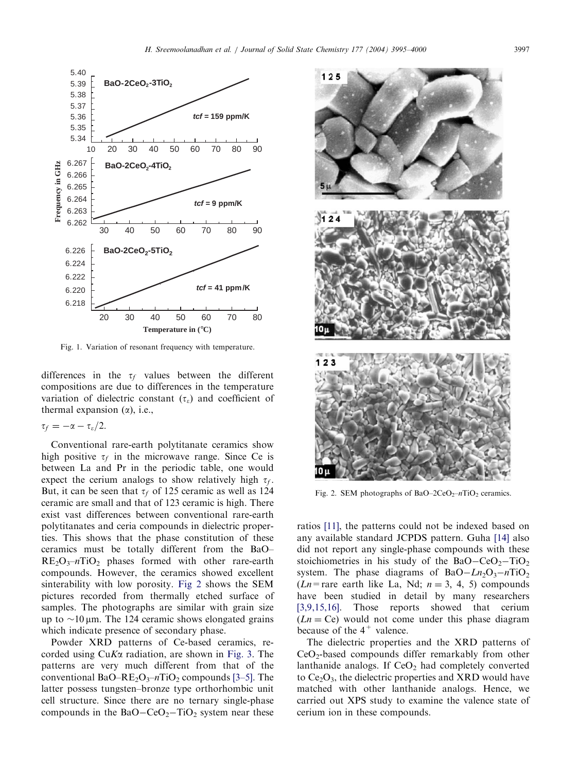<span id="page-2-0"></span>

Fig. 1. Variation of resonant frequency with temperature.

differences in the  $\tau_f$  values between the different compositions are due to differences in the temperature variation of dielectric constant  $(\tau_{\varepsilon})$  and coefficient of thermal expansion  $(\alpha)$ , i.e.,

$$
\tau_f=-\alpha-\tau_{\varepsilon}/2.
$$

Conventional rare-earth polytitanate ceramics show high positive  $\tau_f$  in the microwave range. Since Ce is between La and Pr in the periodic table, one would expect the cerium analogs to show relatively high  $\tau_f$ . But, it can be seen that  $\tau_f$  of 125 ceramic as well as 124 ceramic are small and that of 123 ceramic is high. There exist vast differences between conventional rare-earth polytitanates and ceria compounds in dielectric properties. This shows that the phase constitution of these ceramics must be totally different from the BaO–  $RE<sub>2</sub>O<sub>3</sub>$ -nTiO<sub>2</sub> phases formed with other rare-earth compounds. However, the ceramics showed excellent sinterability with low porosity. Fig 2 shows the SEM pictures recorded from thermally etched surface of samples. The photographs are similar with grain size up to  $\sim$ 10  $\mu$ m. The 124 ceramic shows elongated grains which indicate presence of secondary phase.

Powder XRD patterns of Ce-based ceramics, recorded using CuKa radiation, are shown in [Fig. 3](#page-3-0). The patterns are very much different from that of the conventional BaO–RE<sub>2</sub>O<sub>3</sub>–nTiO<sub>2</sub> compounds [\[3–5\].](#page-5-0) The latter possess tungsten–bronze type orthorhombic unit cell structure. Since there are no ternary single-phase compounds in the  $BaO-CeO<sub>2</sub>-TiO<sub>2</sub>$  system near these



Fig. 2. SEM photographs of BaO–2CeO<sub>2</sub>–nTiO<sub>2</sub> ceramics.

ratios [\[11\],](#page-5-0) the patterns could not be indexed based on any available standard JCPDS pattern. Guha [\[14\]](#page-5-0) also did not report any single-phase compounds with these stoichiometries in his study of the  $BaO-CeO<sub>2</sub>-TiO<sub>2</sub>$ system. The phase diagrams of  $BaO-Ln<sub>2</sub>O<sub>3</sub> - nTiO<sub>2</sub>$  $(Ln=$ rare earth like La, Nd;  $n = 3, 4, 5$ ) compounds have been studied in detail by many researchers [\[3,9,15,16\]](#page-5-0). Those reports showed that cerium  $(Ln = Ce)$  would not come under this phase diagram because of the  $4^+$  valence.

The dielectric properties and the XRD patterns of  $CeO<sub>2</sub>$ -based compounds differ remarkably from other lanthanide analogs. If  $CeO<sub>2</sub>$  had completely converted to  $Ce<sub>2</sub>O<sub>3</sub>$ , the dielectric properties and XRD would have matched with other lanthanide analogs. Hence, we carried out XPS study to examine the valence state of cerium ion in these compounds.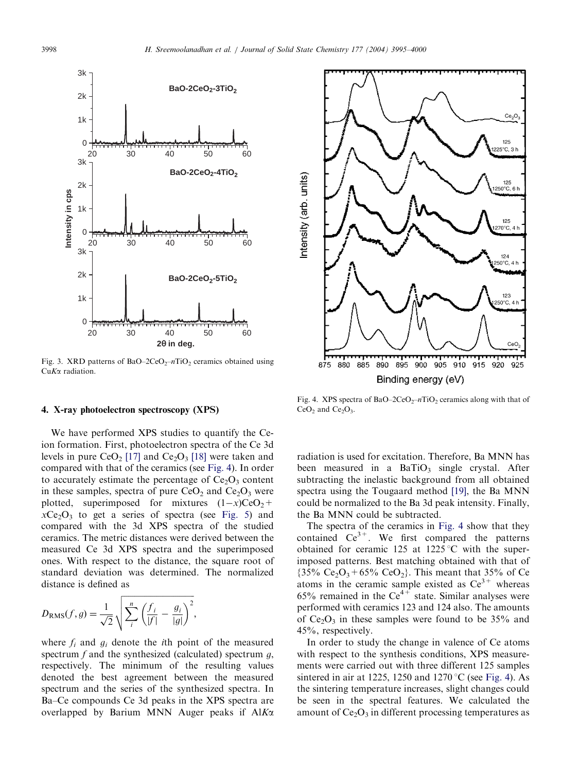<span id="page-3-0"></span>

Fig. 3. XRD patterns of BaO–2CeO<sub>2</sub>–nTiO<sub>2</sub> ceramics obtained using CuK<sub>a</sub> radiation.

#### 4. X-ray photoelectron spectroscopy (XPS)

We have performed XPS studies to quantify the Ceion formation. First, photoelectron spectra of the Ce 3d levels in pure  $CeO<sub>2</sub>$  [\[17\]](#page-5-0) and  $Ce<sub>2</sub>O<sub>3</sub>$  [\[18\]](#page-5-0) were taken and compared with that of the ceramics (see Fig. 4). In order to accurately estimate the percentage of  $Ce<sub>2</sub>O<sub>3</sub>$  content in these samples, spectra of pure  $CeO<sub>2</sub>$  and  $Ce<sub>2</sub>O<sub>3</sub>$  were plotted, superimposed for mixtures  $(1-x)CeO<sub>2</sub>$ +  $xCe<sub>2</sub>O<sub>3</sub>$  to get a series of spectra (see [Fig. 5](#page-4-0)) and compared with the 3d XPS spectra of the studied ceramics. The metric distances were derived between the measured Ce 3d XPS spectra and the superimposed ones. With respect to the distance, the square root of standard deviation was determined. The normalized distance is defined as

$$
D_{\rm RMS}(f,g) = \frac{1}{\sqrt{2}} \sqrt{\sum_i^n \left(\frac{f_i}{|f|} - \frac{g_i}{|g|}\right)^2},
$$

where  $f_i$  and  $g_i$  denote the *i*th point of the measured spectrum  $f$  and the synthesized (calculated) spectrum  $g$ , respectively. The minimum of the resulting values denoted the best agreement between the measured spectrum and the series of the synthesized spectra. In Ba–Ce compounds Ce 3d peaks in the XPS spectra are overlapped by Barium MNN Auger peaks if  $AIK\alpha$ 



Fig. 4. XPS spectra of BaO–2CeO<sub>2</sub>–nTiO<sub>2</sub> ceramics along with that of  $CeO<sub>2</sub>$  and  $Ce<sub>2</sub>O<sub>3</sub>$ .

radiation is used for excitation. Therefore, Ba MNN has been measured in a  $BaTiO<sub>3</sub>$  single crystal. After subtracting the inelastic background from all obtained spectra using the Tougaard method [\[19\],](#page-5-0) the Ba MNN could be normalized to the Ba 3d peak intensity. Finally, the Ba MNN could be subtracted.

The spectra of the ceramics in Fig. 4 show that they contained  $Ce^{3+}$ . We first compared the patterns obtained for ceramic 125 at 1225 °C with the superimposed patterns. Best matching obtained with that of  ${35\%}$  Ce<sub>2</sub>O<sub>3</sub> + 65% CeO<sub>2</sub>}. This meant that 35% of Ce atoms in the ceramic sample existed as  $Ce^{3+}$  whereas 65% remained in the  $\text{Ce}^{4+}$  state. Similar analyses were performed with ceramics 123 and 124 also. The amounts of  $Ce<sub>2</sub>O<sub>3</sub>$  in these samples were found to be 35% and 45%, respectively.

In order to study the change in valence of Ce atoms with respect to the synthesis conditions, XPS measurements were carried out with three different 125 samples sintered in air at 1225, 1250 and 1270 °C (see Fig. 4). As the sintering temperature increases, slight changes could be seen in the spectral features. We calculated the amount of  $Ce<sub>2</sub>O<sub>3</sub>$  in different processing temperatures as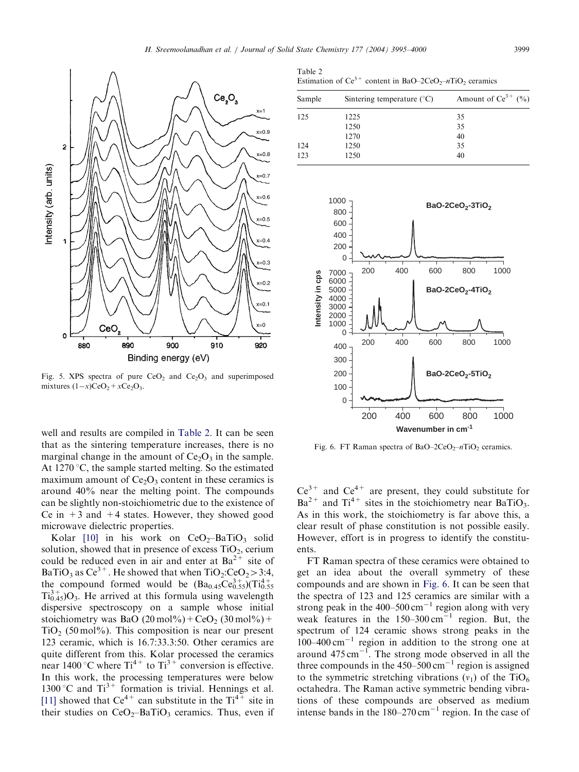

<span id="page-4-0"></span>

Fig. 5. XPS spectra of pure  $CeO<sub>2</sub>$  and  $Ce<sub>2</sub>O<sub>3</sub>$  and superimposed mixtures  $(1-x)CeO<sub>2</sub> + xCe<sub>2</sub>O<sub>3</sub>$ .

well and results are compiled in Table 2. It can be seen that as the sintering temperature increases, there is no marginal change in the amount of  $Ce<sub>2</sub>O<sub>3</sub>$  in the sample. At  $1270^{\circ}$ C, the sample started melting. So the estimated maximum amount of  $Ce<sub>2</sub>O<sub>3</sub>$  content in these ceramics is around 40% near the melting point. The compounds can be slightly non-stoichiometric due to the existence of Ce in  $+3$  and  $+4$  states. However, they showed good microwave dielectric properties.

Kolar  $[10]$  in his work on CeO<sub>2</sub>-BaTiO<sub>3</sub> solid solution, showed that in presence of excess  $TiO<sub>2</sub>$ , cerium could be reduced even in air and enter at  $Ba^{2+}$  site of BaTiO<sub>3</sub> as Ce<sup>3+</sup>. He showed that when  $TiO_2:CeO_2 > 3:4$ , the compound formed would be  $(Ba_{0.45}Ce_{0.55}^{3+})$  $(Ti_{0.55}^{4+})$  $Ti<sub>0.45</sub><sup>3+</sup>O<sub>3</sub>$ . He arrived at this formula using wavelength dispersive spectroscopy on a sample whose initial stoichiometry was BaO  $(20 \text{ mol\%}) + \text{CeO}_2 (30 \text{ mol\%}) +$  $TiO<sub>2</sub>$  (50 mol%). This composition is near our present 123 ceramic, which is 16.7:33.3:50. Other ceramics are quite different from this. Kolar processed the ceramics near 1400 °C where  $Ti^{4+}$  to  $Ti^{3+}$  conversion is effective. In this work, the processing temperatures were below 1300 °C and  $Ti^{3+}$  formation is trivial. Hennings et al. [\[11\]](#page-5-0) showed that  $Ce^{4+}$  can substitute in the  $Ti^{4+}$  site in their studies on  $CeO<sub>2</sub>$ -BaTiO<sub>3</sub> ceramics. Thus, even if

Table 2 Estimation of Ce<sup>3+</sup> content in BaO–2CeO<sub>2</sub>–nTiO<sub>2</sub> ceramics

| Sample | Sintering temperature $(^{\circ}C)$ | Amount of $Ce^{3+}$ (%) |
|--------|-------------------------------------|-------------------------|
| 125    | 1225                                | 35                      |
|        | 1250                                | 35                      |
|        | 1270                                | 40                      |
| 124    | 1250                                | 35                      |
| 123    | 1250                                | 40                      |



Fig. 6. FT Raman spectra of BaO–2CeO<sub>2</sub>–nTiO<sub>2</sub> ceramics.

 $Ce^{3+}$  and  $Ce^{4+}$  are present, they could substitute for  $Ba^{2+}$  and  $Ti^{4+}$  sites in the stoichiometry near BaTiO<sub>3</sub>. As in this work, the stoichiometry is far above this, a clear result of phase constitution is not possible easily. However, effort is in progress to identify the constituents.

FT Raman spectra of these ceramics were obtained to get an idea about the overall symmetry of these compounds and are shown in Fig. 6. It can be seen that the spectra of 123 and 125 ceramics are similar with a strong peak in the 400–500  $\text{cm}^{-1}$  region along with very weak features in the  $150-300 \text{ cm}^{-1}$  region. But, the spectrum of 124 ceramic shows strong peaks in the  $100-400$  cm<sup>-1</sup> region in addition to the strong one at around  $475 \text{ cm}^{-1}$ . The strong mode observed in all the three compounds in the  $450-500 \text{ cm}^{-1}$  region is assigned to the symmetric stretching vibrations  $(v_1)$  of the TiO<sub>6</sub> octahedra. The Raman active symmetric bending vibrations of these compounds are observed as medium intense bands in the  $180-270 \text{ cm}^{-1}$  region. In the case of